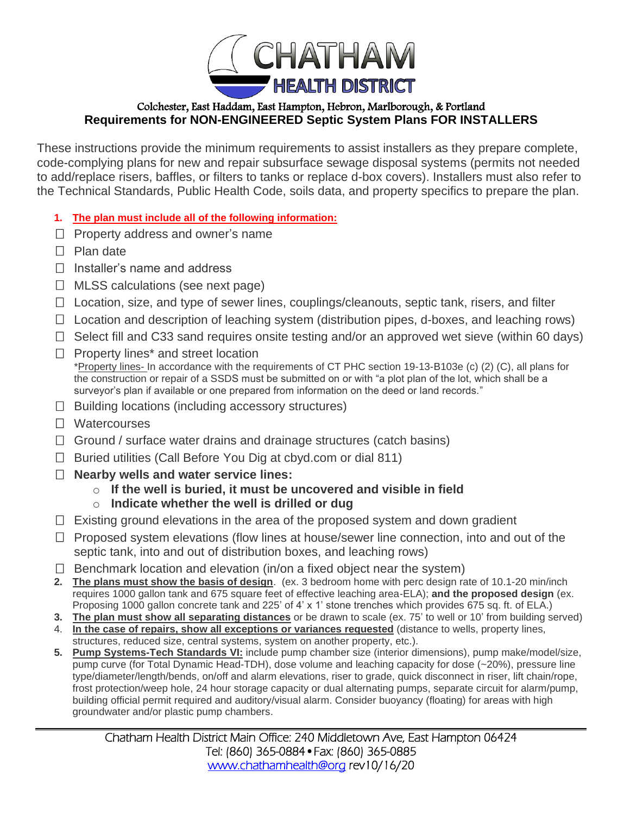

## Colchester, East Haddam, East Hampton, Hebron, Marlborough, & Portland **Requirements for NON-ENGINEERED Septic System Plans FOR INSTALLERS**

These instructions provide the minimum requirements to assist installers as they prepare complete, code-complying plans for new and repair subsurface sewage disposal systems (permits not needed to add/replace risers, baffles, or filters to tanks or replace d-box covers). Installers must also refer to the Technical Standards, Public Health Code, soils data, and property specifics to prepare the plan.

- **1. The plan must include all of the following information:**
- $\Box$  Property address and owner's name
- $\Box$  Plan date
- $\Box$  Installer's name and address
- $\Box$  MLSS calculations (see next page)
- $\Box$  Location, size, and type of sewer lines, couplings/cleanouts, septic tank, risers, and filter
- $\Box$  Location and description of leaching system (distribution pipes, d-boxes, and leaching rows)
- $\Box$  Select fill and C33 sand requires onsite testing and/or an approved wet sieve (within 60 days)
- $\Box$  Property lines\* and street location \*Property lines- In accordance with the requirements of CT PHC section 19-13-B103e (c) (2) (C), all plans for the construction or repair of a SSDS must be submitted on or with "a plot plan of the lot, which shall be a surveyor's plan if available or one prepared from information on the deed or land records."
- $\Box$  Building locations (including accessory structures)
- □ Watercourses
- $\Box$  Ground / surface water drains and drainage structures (catch basins)
- $\Box$  Buried utilities (Call Before You Dig at cbyd.com or dial 811)
- **Nearby wells and water service lines:**
	- o **If the well is buried, it must be uncovered and visible in field**
	- o **Indicate whether the well is drilled or dug**
- $\Box$  Existing ground elevations in the area of the proposed system and down gradient
- $\Box$  Proposed system elevations (flow lines at house/sewer line connection, into and out of the septic tank, into and out of distribution boxes, and leaching rows)
- $\Box$  Benchmark location and elevation (in/on a fixed object near the system)
- **2. The plans must show the basis of design**. (ex. 3 bedroom home with perc design rate of 10.1-20 min/inch requires 1000 gallon tank and 675 square feet of effective leaching area-ELA); **and the proposed design** (ex. Proposing 1000 gallon concrete tank and 225' of 4' x 1' stone trenches which provides 675 sq. ft. of ELA.)
- **3. The plan must show all separating distances** or be drawn to scale (ex. 75' to well or 10' from building served)
- 4. **In the case of repairs, show all exceptions or variances requested** (distance to wells, property lines, structures, reduced size, central systems, system on another property, etc.).
- **5. Pump Systems-Tech Standards VI:** include pump chamber size (interior dimensions), pump make/model/size, pump curve (for Total Dynamic Head-TDH), dose volume and leaching capacity for dose (~20%), pressure line type/diameter/length/bends, on/off and alarm elevations, riser to grade, quick disconnect in riser, lift chain/rope, frost protection/weep hole, 24 hour storage capacity or dual alternating pumps, separate circuit for alarm/pump, building official permit required and auditory/visual alarm. Consider buoyancy (floating) for areas with high groundwater and/or plastic pump chambers.

Chatham Health District Main Office: 240 Middletown Ave, East Hampton 06424 Tel: (860) 365-0884•Fax: (860) 365-0885 [www.chathamhealth@org](http://www.chathamhealth@org) rev10/16/20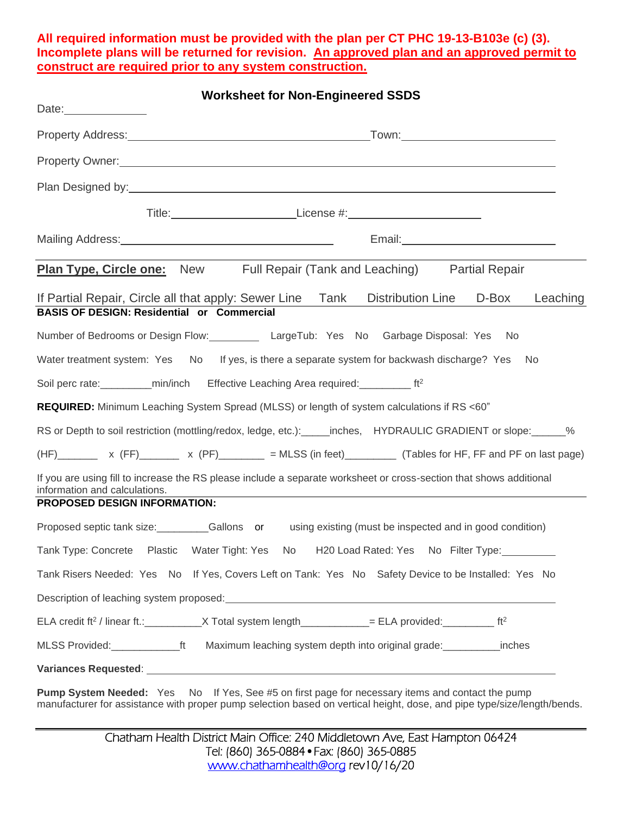### **All required information must be provided with the plan per CT PHC 19-13-B103e (c) (3). Incomplete plans will be returned for revision. An approved plan and an approved permit to construct are required prior to any system construction.**

| <b>Worksheet for Non-Engineered SSDS</b>                                                                                                                                                                                      |          |
|-------------------------------------------------------------------------------------------------------------------------------------------------------------------------------------------------------------------------------|----------|
| Town:_______________________________                                                                                                                                                                                          |          |
| Property Owner: experience of the contract of the contract of the contract of the contract of the contract of the contract of the contract of the contract of the contract of the contract of the contract of the contract of |          |
|                                                                                                                                                                                                                               |          |
| Title: ________________________________License #:_______________________________                                                                                                                                              |          |
| Email: <u>____________________________</u><br>Mailing Address: Manual Mailing Address: Mailing Address: Mailing Address: Mail Mail Manual Manual Manual Manua                                                                 |          |
| <b>Plan Type, Circle one:</b> New Full Repair (Tank and Leaching) Partial Repair                                                                                                                                              |          |
| If Partial Repair, Circle all that apply: Sewer Line Tank Distribution Line D-Box<br><b>BASIS OF DESIGN: Residential or Commercial</b>                                                                                        | Leaching |
| Number of Bedrooms or Design Flow: LargeTub: Yes No Garbage Disposal: Yes<br>No.                                                                                                                                              |          |
| Water treatment system: Yes No If yes, is there a separate system for backwash discharge? Yes No                                                                                                                              |          |
| Soil perc rate: __________min/inch Effective Leaching Area required: ___________ ft <sup>2</sup>                                                                                                                              |          |
| REQUIRED: Minimum Leaching System Spread (MLSS) or length of system calculations if RS <60"                                                                                                                                   |          |
| RS or Depth to soil restriction (mottling/redox, ledge, etc.): _____inches, HYDRAULIC GRADIENT or slope: _____%                                                                                                               |          |
| (HF) x (FF) x (PF) x (PF) = MLSS (in feet) (Tables for HF, FF and PF on last page)                                                                                                                                            |          |
| If you are using fill to increase the RS please include a separate worksheet or cross-section that shows additional<br>information and calculations.                                                                          |          |
| PROPOSED DESIGN INFORMATION:                                                                                                                                                                                                  |          |
| Proposed septic tank size:<br>____________Gallons or using existing (must be inspected and in good condition)                                                                                                                 |          |
| Tank Type: Concrete Plastic Water Tight: Yes No H20 Load Rated: Yes No Filter Type:                                                                                                                                           |          |
| Tank Risers Needed: Yes No If Yes, Covers Left on Tank: Yes No Safety Device to be Installed: Yes No                                                                                                                          |          |
|                                                                                                                                                                                                                               |          |
| ELA credit ft <sup>2</sup> / linear ft.: X Total system length ____________ = ELA provided: $f2$ / linear ft.                                                                                                                 |          |
| MLSS Provided: ______________ft Maximum leaching system depth into original grade: _____________ inches                                                                                                                       |          |
|                                                                                                                                                                                                                               |          |
| Dumn System Needed: Yoo No. If Yoo Soo #5 on first nogo for necessary it may and contact the numn                                                                                                                             |          |

**Pump System Needed:** Yes No If Yes, See #5 on first page for necessary items and contact the pump manufacturer for assistance with proper pump selection based on vertical height, dose, and pipe type/size/length/bends.